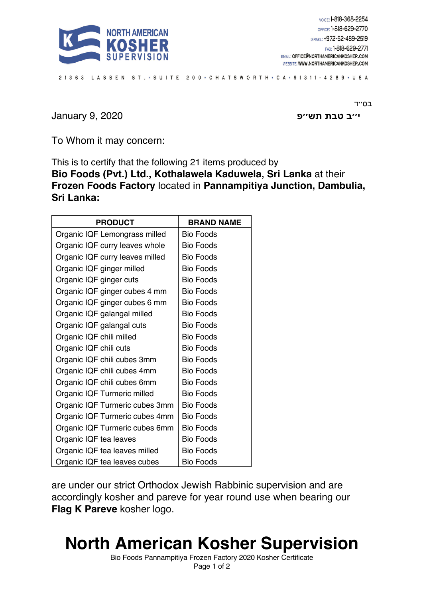

21363 LASSEN ST. • SUITE 200 • CHATSWORTH • CA • 91311 - 4289 • USA

**ב׳׳י תבט שת פ׳׳** 2020 9, January

בס״ד

To Whom it may concern:

This is to certify that the following 21 items produced by **Bio Foods (Pvt.) Ltd., Kothalawela Kaduwela, Sri Lanka** at their **Frozen Foods Factory** located in **Pannampitiya Junction, Dambulia, Sri Lanka:**

| <b>PRODUCT</b>                  | <b>BRAND NAME</b> |
|---------------------------------|-------------------|
| Organic IQF Lemongrass milled   | Bio Foods         |
| Organic IQF curry leaves whole  | <b>Bio Foods</b>  |
| Organic IQF curry leaves milled | <b>Bio Foods</b>  |
| Organic IQF ginger milled       | <b>Bio Foods</b>  |
| Organic IQF ginger cuts         | <b>Bio Foods</b>  |
| Organic IQF ginger cubes 4 mm   | <b>Bio Foods</b>  |
| Organic IQF ginger cubes 6 mm   | <b>Bio Foods</b>  |
| Organic IQF galangal milled     | Bio Foods         |
| Organic IQF galangal cuts       | <b>Bio Foods</b>  |
| Organic IQF chili milled        | <b>Bio Foods</b>  |
| Organic IQF chili cuts          | <b>Bio Foods</b>  |
| Organic IQF chili cubes 3mm     | <b>Bio Foods</b>  |
| Organic IQF chili cubes 4mm     | <b>Bio Foods</b>  |
| Organic IQF chili cubes 6mm     | <b>Bio Foods</b>  |
| Organic IQF Turmeric milled     | <b>Bio Foods</b>  |
| Organic IQF Turmeric cubes 3mm  | <b>Bio Foods</b>  |
| Organic IQF Turmeric cubes 4mm  | <b>Bio Foods</b>  |
| Organic IQF Turmeric cubes 6mm  | <b>Bio Foods</b>  |
| Organic IQF tea leaves          | <b>Bio Foods</b>  |
| Organic IQF tea leaves milled   | <b>Bio Foods</b>  |
| Organic IQF tea leaves cubes    | <b>Bio Foods</b>  |

are under our strict Orthodox Jewish Rabbinic supervision and are accordingly kosher and pareve for year round use when bearing our **Flag K Pareve** kosher logo.

## **North American Kosher Supervision**

Bio Foods Pannampitiya Frozen Factory 2020 Kosher Certificate Page 1 of 2